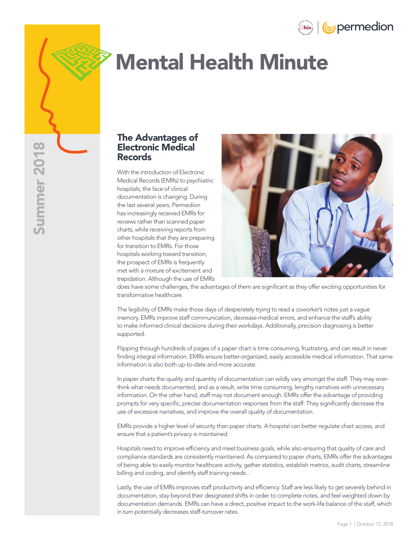



# Mental Health Minute

#### The Advantages of Electronic Medical Records

With the introduction of Electronic Medical Records (EMRs) to psychiatric hospitals, the face of clinical documentation is changing. During the last several years, Permedion has increasingly received EMRs for reviews rather than scanned paper charts, while receiving reports from other hospitals that they are preparing for transition to EMRs. For those hospitals working toward transition, the prospect of EMRs is frequently met with a mixture of excitement and trepidation. Although the use of EMRs



does have some challenges, the advantages of them are significant as they offer exciting opportunities for transformative healthcare.

The legibility of EMRs make those days of desperately trying to read a coworker's notes just a vague memory. EMRs improve staff communication, decrease medical errors, and enhance the staff's ability to make informed clinical decisions during their workdays. Additionally, precision diagnosing is better supported.

Flipping through hundreds of pages of a paper chart is time consuming, frustrating, and can result in never finding integral information. EMRs ensure better-organized, easily accessible medical information. That same information is also both up-to-date and more accurate.

In paper charts the quality and quantity of documentation can wildly vary amongst the staff. They may overthink what needs documented, and as a result, write time consuming, lengthy narratives with unnecessary information. On the other hand, staff may not document enough. EMRs offer the advantage of providing prompts for very specific, precise documentation responses from the staff. They significantly decrease the use of excessive narratives, and improve the overall quality of documentation.

EMRs provide a higher level of security than paper charts. A hospital can better regulate chart access, and ensure that a patient's privacy is maintained.

Hospitals need to improve efficiency and meet business goals, while also ensuring that quality of care and compliance standards are consistently maintained. As compared to paper charts, EMRs offer the advantages of being able to easily monitor healthcare activity, gather statistics, establish metrics, audit charts, streamline billing and coding, and identify staff training needs. .

Lastly, the use of EMRs improves staff productivity and efficiency. Staff are less likely to get severely behind in documentation, stay beyond their designated shifts in order to complete notes, and feel weighted down by documentation demands. EMRs can have a direct, positive impact to the work-life balance of the staff, which in turn potentially decreases staff-turnover rates.